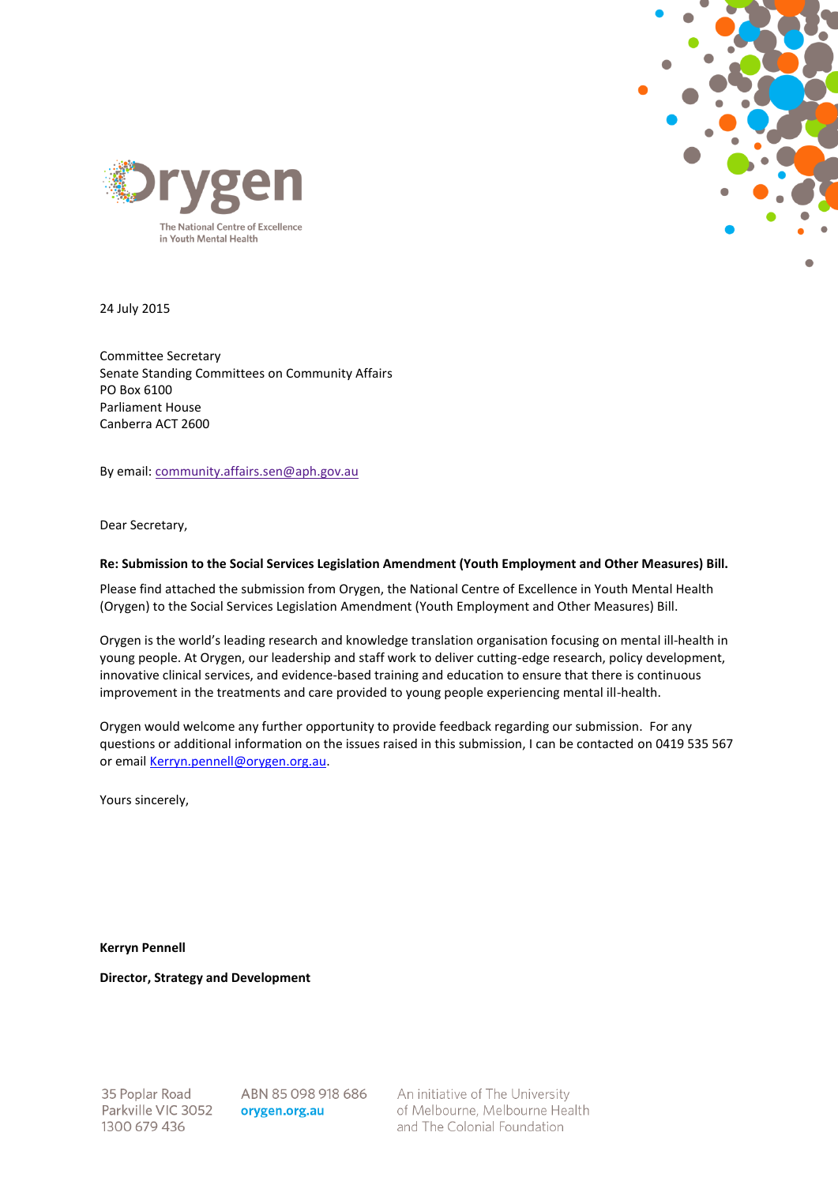



24 July 2015

Committee Secretary Senate Standing Committees on Community Affairs PO Box 6100 Parliament House Canberra ACT 2600

By email[: community.affairs.sen@aph.gov.au](mailto:community.affairs.sen@aph.gov.au)

Dear Secretary,

#### **Re: Submission to the Social Services Legislation Amendment (Youth Employment and Other Measures) Bill.**

Please find attached the submission from Orygen, the National Centre of Excellence in Youth Mental Health (Orygen) to the Social Services Legislation Amendment (Youth Employment and Other Measures) Bill.

Orygen is the world's leading research and knowledge translation organisation focusing on mental ill-health in young people. At Orygen, our leadership and staff work to deliver cutting-edge research, policy development, innovative clinical services, and evidence-based training and education to ensure that there is continuous improvement in the treatments and care provided to young people experiencing mental ill-health.

Orygen would welcome any further opportunity to provide feedback regarding our submission. For any questions or additional information on the issues raised in this submission, I can be contacted on 0419 535 567 or emai[l Kerryn.pennell@orygen.org.au.](mailto:Kerryn.pennell@orygen.org.au)

Yours sincerely,

**Kerryn Pennell**

**Director, Strategy and Development**

35 Poplar Road Parkville VIC 3052 1300 679 436

ABN 85 098 918 686 orygen.org.au

An initiative of The University of Melbourne, Melbourne Health and The Colonial Foundation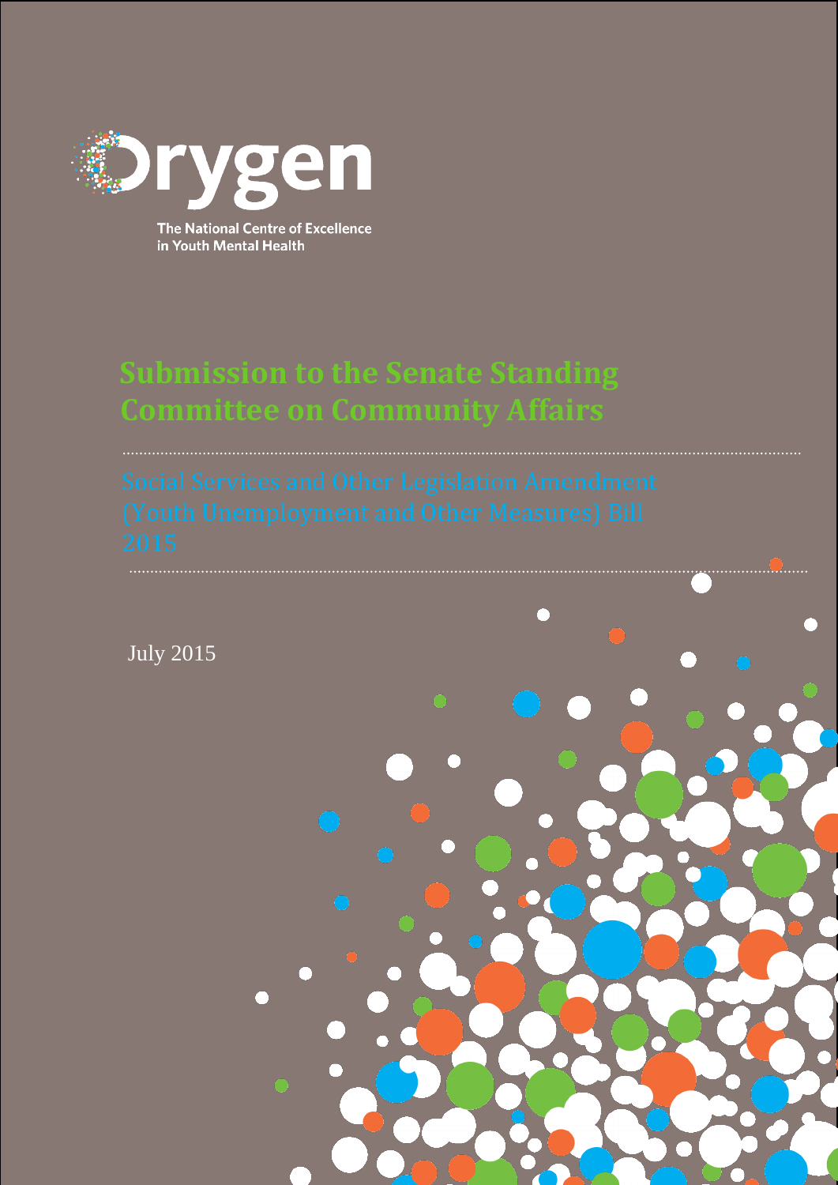

The National Centre of Excellence in Youth Mental Health

# **Submission to the Senate Standing Committee on Community Affairs**

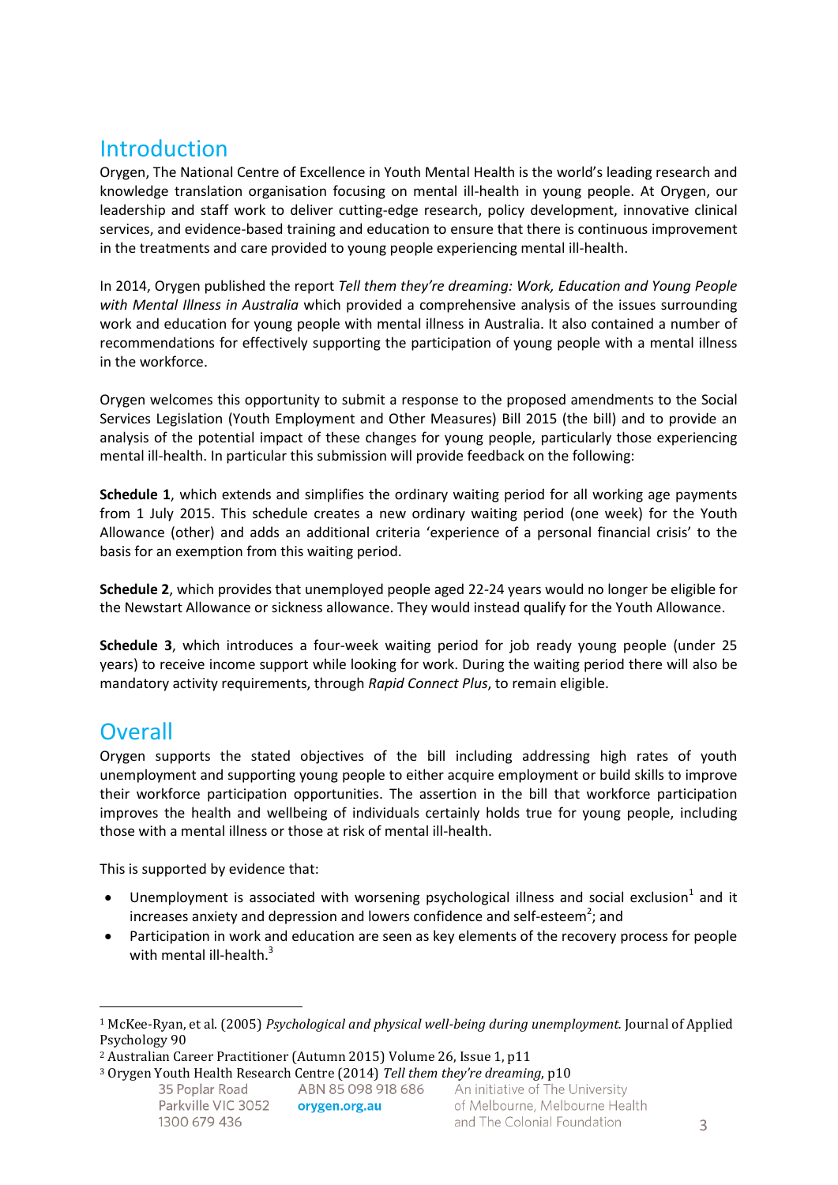### **Introduction**

Orygen, The National Centre of Excellence in Youth Mental Health is the world's leading research and knowledge translation organisation focusing on mental ill-health in young people. At Orygen, our leadership and staff work to deliver cutting-edge research, policy development, innovative clinical services, and evidence-based training and education to ensure that there is continuous improvement in the treatments and care provided to young people experiencing mental ill-health.

In 2014, Orygen published the report *Tell them they're dreaming: Work, Education and Young People with Mental Illness in Australia* which provided a comprehensive analysis of the issues surrounding work and education for young people with mental illness in Australia. It also contained a number of recommendations for effectively supporting the participation of young people with a mental illness in the workforce.

Orygen welcomes this opportunity to submit a response to the proposed amendments to the Social Services Legislation (Youth Employment and Other Measures) Bill 2015 (the bill) and to provide an analysis of the potential impact of these changes for young people, particularly those experiencing mental ill-health. In particular this submission will provide feedback on the following:

**Schedule 1**, which extends and simplifies the ordinary waiting period for all working age payments from 1 July 2015. This schedule creates a new ordinary waiting period (one week) for the Youth Allowance (other) and adds an additional criteria 'experience of a personal financial crisis' to the basis for an exemption from this waiting period.

**Schedule 2**, which provides that unemployed people aged 22-24 years would no longer be eligible for the Newstart Allowance or sickness allowance. They would instead qualify for the Youth Allowance.

**Schedule 3**, which introduces a four-week waiting period for job ready young people (under 25 years) to receive income support while looking for work. During the waiting period there will also be mandatory activity requirements, through *Rapid Connect Plus*, to remain eligible.

### **Overall**

 $\overline{a}$ 

Orygen supports the stated objectives of the bill including addressing high rates of youth unemployment and supporting young people to either acquire employment or build skills to improve their workforce participation opportunities. The assertion in the bill that workforce participation improves the health and wellbeing of individuals certainly holds true for young people, including those with a mental illness or those at risk of mental ill-health.

This is supported by evidence that:

- Unemployment is associated with worsening psychological illness and social exclusion<sup>1</sup> and it increases anxiety and depression and lowers confidence and self-esteem<sup>2</sup>; and
- Participation in work and education are seen as key elements of the recovery process for people with mental ill-health. $3$

orygen.org.au

<sup>1</sup> McKee-Ryan, et al. (2005) *Psychological and physical well-being during unemployment.* Journal of Applied Psychology 90

<sup>2</sup> Australian Career Practitioner (Autumn 2015) Volume 26, Issue 1, p11

<sup>3</sup> Orygen Youth Health Research Centre (2014) *Tell them they're dreaming*, p10ABN 85 098 918 686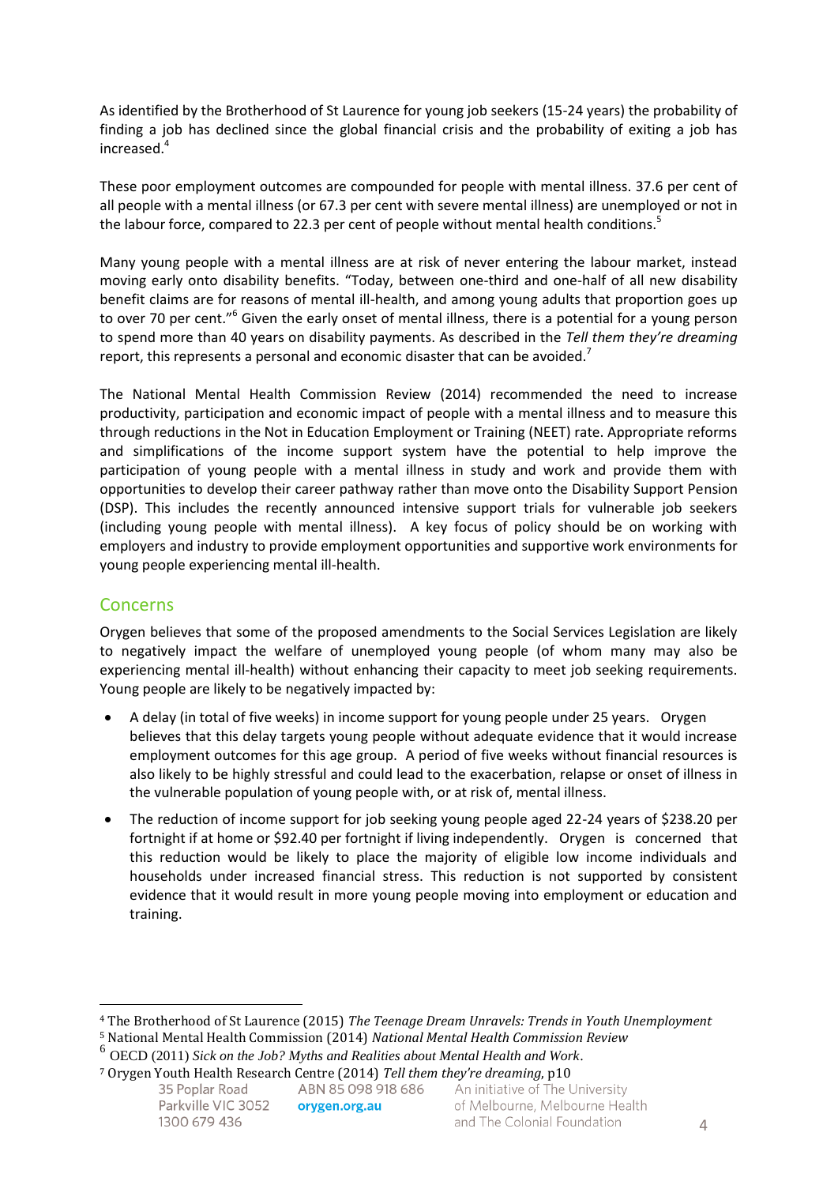As identified by the Brotherhood of St Laurence for young job seekers (15-24 years) the probability of finding a job has declined since the global financial crisis and the probability of exiting a job has increased.<sup>4</sup>

These poor employment outcomes are compounded for people with mental illness. 37.6 per cent of all people with a mental illness (or 67.3 per cent with severe mental illness) are unemployed or not in the labour force, compared to 22.3 per cent of people without mental health conditions.<sup>5</sup>

Many young people with a mental illness are at risk of never entering the labour market, instead moving early onto disability benefits. "Today, between one-third and one-half of all new disability benefit claims are for reasons of mental ill-health, and among young adults that proportion goes up to over 70 per cent."<sup>6</sup> Given the early onset of mental illness, there is a potential for a young person to spend more than 40 years on disability payments. As described in the *Tell them they're dreaming*  report, this represents a personal and economic disaster that can be avoided.<sup>7</sup>

The National Mental Health Commission Review (2014) recommended the need to increase productivity, participation and economic impact of people with a mental illness and to measure this through reductions in the Not in Education Employment or Training (NEET) rate. Appropriate reforms and simplifications of the income support system have the potential to help improve the participation of young people with a mental illness in study and work and provide them with opportunities to develop their career pathway rather than move onto the Disability Support Pension (DSP). This includes the recently announced intensive support trials for vulnerable job seekers (including young people with mental illness). A key focus of policy should be on working with employers and industry to provide employment opportunities and supportive work environments for young people experiencing mental ill-health.

#### **Concerns**

 $\overline{a}$ 

Orygen believes that some of the proposed amendments to the Social Services Legislation are likely to negatively impact the welfare of unemployed young people (of whom many may also be experiencing mental ill-health) without enhancing their capacity to meet job seeking requirements. Young people are likely to be negatively impacted by:

- A delay (in total of five weeks) in income support for young people under 25 years. Orygen believes that this delay targets young people without adequate evidence that it would increase employment outcomes for this age group. A period of five weeks without financial resources is also likely to be highly stressful and could lead to the exacerbation, relapse or onset of illness in the vulnerable population of young people with, or at risk of, mental illness.
- The reduction of income support for job seeking young people aged 22-24 years of \$238.20 per fortnight if at home or \$92.40 per fortnight if living independently. Orygen is concerned that this reduction would be likely to place the majority of eligible low income individuals and households under increased financial stress. This reduction is not supported by consistent evidence that it would result in more young people moving into employment or education and training.

<sup>4</sup> The Brotherhood of St Laurence (2015) *The Teenage Dream Unravels: Trends in Youth Unemployment*

<sup>5</sup> National Mental Health Commission (2014) *National Mental Health Commission Review*

<sup>6</sup> OECD (2011) *Sick on the Job? Myths and Realities about Mental Health and Work*.

<sup>7</sup> Orygen Youth Health Research Centre (2014) *Tell them they're dreaming*, p10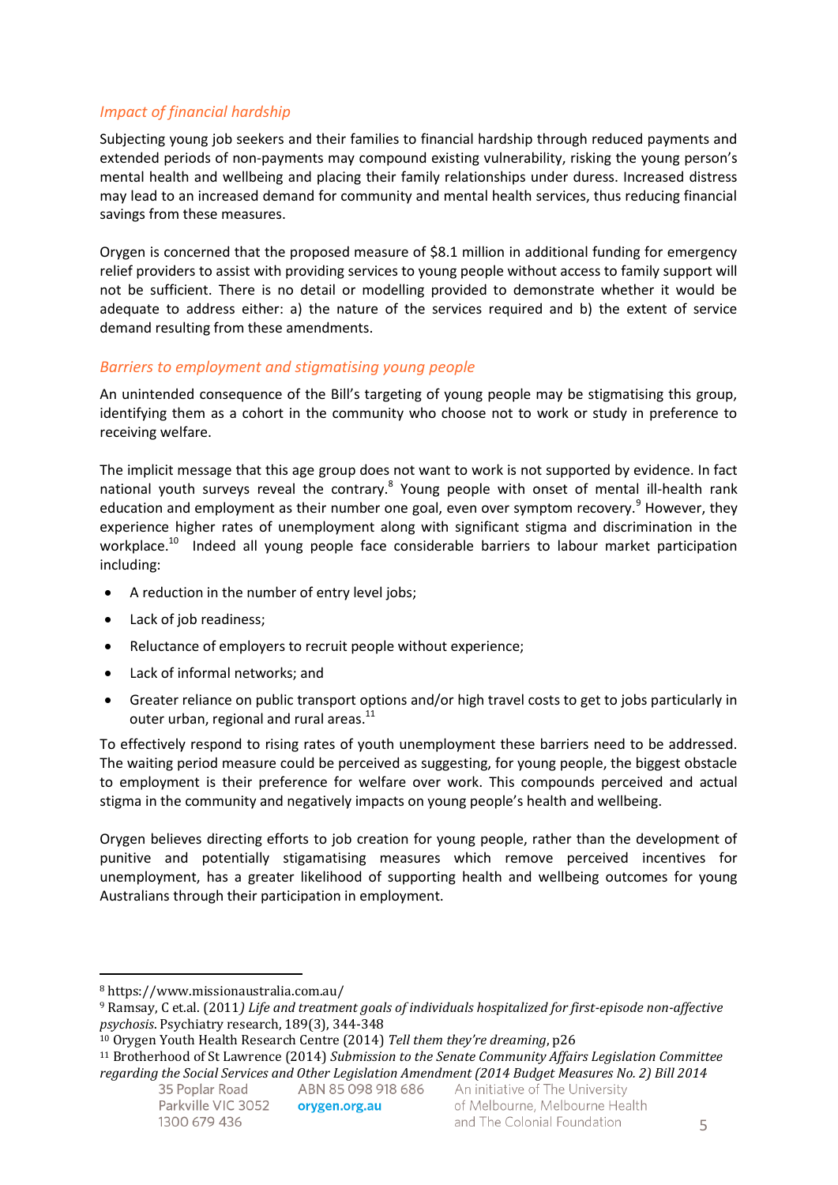#### *Impact of financial hardship*

Subjecting young job seekers and their families to financial hardship through reduced payments and extended periods of non-payments may compound existing vulnerability, risking the young person's mental health and wellbeing and placing their family relationships under duress. Increased distress may lead to an increased demand for community and mental health services, thus reducing financial savings from these measures.

Orygen is concerned that the proposed measure of \$8.1 million in additional funding for emergency relief providers to assist with providing services to young people without access to family support will not be sufficient. There is no detail or modelling provided to demonstrate whether it would be adequate to address either: a) the nature of the services required and b) the extent of service demand resulting from these amendments.

#### *Barriers to employment and stigmatising young people*

An unintended consequence of the Bill's targeting of young people may be stigmatising this group, identifying them as a cohort in the community who choose not to work or study in preference to receiving welfare.

The implicit message that this age group does not want to work is not supported by evidence. In fact national youth surveys reveal the contrary.<sup>8</sup> Young people with onset of mental ill-health rank education and employment as their number one goal, even over symptom recovery.<sup>9</sup> However, they experience higher rates of unemployment along with significant stigma and discrimination in the workplace.<sup>10</sup> Indeed all young people face considerable barriers to labour market participation including:

- A reduction in the number of entry level jobs;
- Lack of job readiness;
- Reluctance of employers to recruit people without experience;
- Lack of informal networks; and
- Greater reliance on public transport options and/or high travel costs to get to jobs particularly in outer urban, regional and rural areas.<sup>11</sup>

To effectively respond to rising rates of youth unemployment these barriers need to be addressed. The waiting period measure could be perceived as suggesting, for young people, the biggest obstacle to employment is their preference for welfare over work. This compounds perceived and actual stigma in the community and negatively impacts on young people's health and wellbeing.

Orygen believes directing efforts to job creation for young people, rather than the development of punitive and potentially stigamatising measures which remove perceived incentives for unemployment, has a greater likelihood of supporting health and wellbeing outcomes for young Australians through their participation in employment.

 $\overline{a}$ 

<sup>8</sup> https://www.missionaustralia.com.au/

<sup>9</sup> Ramsay, C et.al. (2011*) Life and treatment goals of individuals hospitalized for first-episode non-affective psychosis*. Psychiatry research, 189(3), 344-348

<sup>10</sup> Orygen Youth Health Research Centre (2014) *Tell them they're dreaming*, p26

<sup>11</sup> Brotherhood of St Lawrence (2014) *Submission to the Senate Community Affairs Legislation Committee regarding the Social Services and Other Legislation Amendment (2014 Budget Measures No. 2) Bill 2014*ABN 85 098 918 686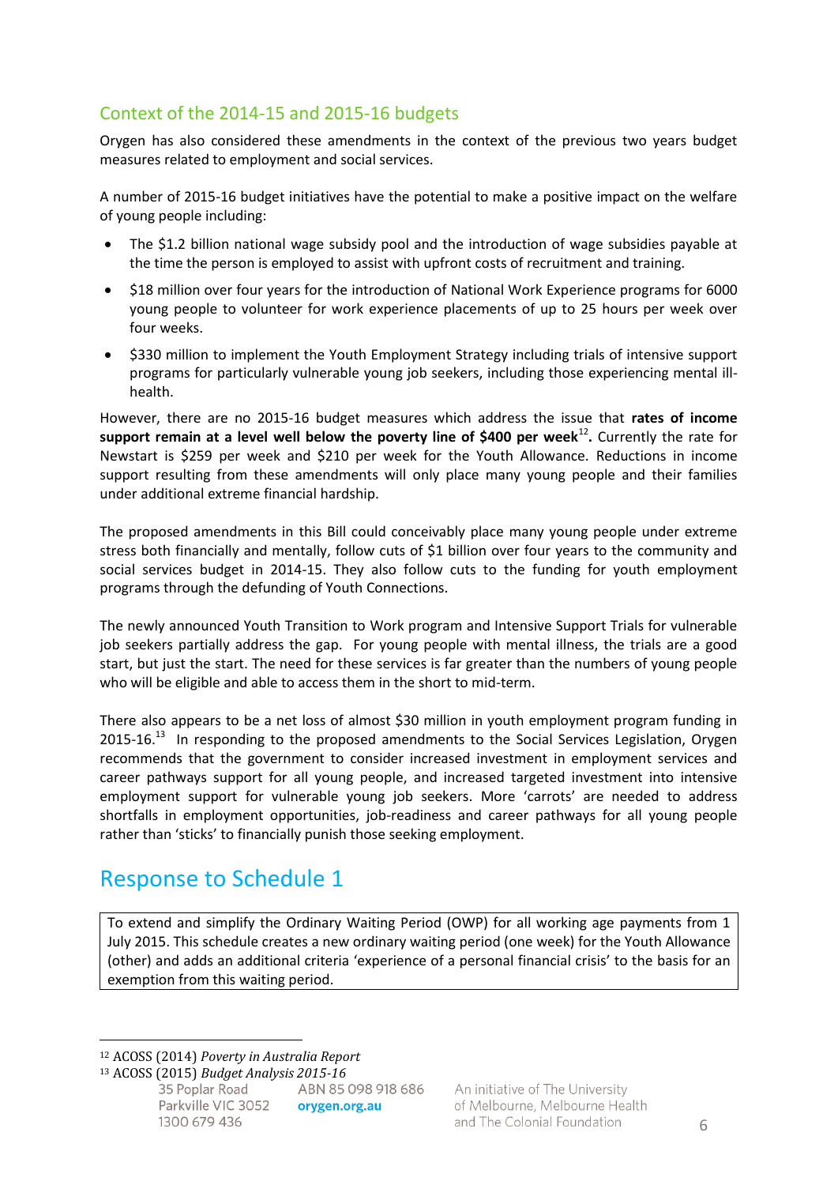### Context of the 2014-15 and 2015-16 budgets

Orygen has also considered these amendments in the context of the previous two years budget measures related to employment and social services.

A number of 2015-16 budget initiatives have the potential to make a positive impact on the welfare of young people including:

- The \$1.2 billion national wage subsidy pool and the introduction of wage subsidies payable at the time the person is employed to assist with upfront costs of recruitment and training.
- \$18 million over four years for the introduction of National Work Experience programs for 6000 young people to volunteer for work experience placements of up to 25 hours per week over four weeks.
- \$330 million to implement the Youth Employment Strategy including trials of intensive support programs for particularly vulnerable young job seekers, including those experiencing mental illhealth.

However, there are no 2015-16 budget measures which address the issue that **rates of income**  support remain at a level well below the poverty line of \$400 per week<sup>12</sup>. Currently the rate for Newstart is \$259 per week and \$210 per week for the Youth Allowance. Reductions in income support resulting from these amendments will only place many young people and their families under additional extreme financial hardship.

The proposed amendments in this Bill could conceivably place many young people under extreme stress both financially and mentally, follow cuts of \$1 billion over four years to the community and social services budget in 2014-15. They also follow cuts to the funding for youth employment programs through the defunding of Youth Connections.

The newly announced Youth Transition to Work program and Intensive Support Trials for vulnerable job seekers partially address the gap. For young people with mental illness, the trials are a good start, but just the start. The need for these services is far greater than the numbers of young people who will be eligible and able to access them in the short to mid-term.

There also appears to be a net loss of almost \$30 million in youth employment program funding in 2015-16.<sup>13</sup> In responding to the proposed amendments to the Social Services Legislation, Orygen recommends that the government to consider increased investment in employment services and career pathways support for all young people, and increased targeted investment into intensive employment support for vulnerable young job seekers. More 'carrots' are needed to address shortfalls in employment opportunities, job-readiness and career pathways for all young people rather than 'sticks' to financially punish those seeking employment.

## Response to Schedule 1

To extend and simplify the Ordinary Waiting Period (OWP) for all working age payments from 1 July 2015. This schedule creates a new ordinary waiting period (one week) for the Youth Allowance (other) and adds an additional criteria 'experience of a personal financial crisis' to the basis for an exemption from this waiting period.

 $\overline{a}$ 

<sup>12</sup> ACOSS (2014) *Poverty in Australia Report*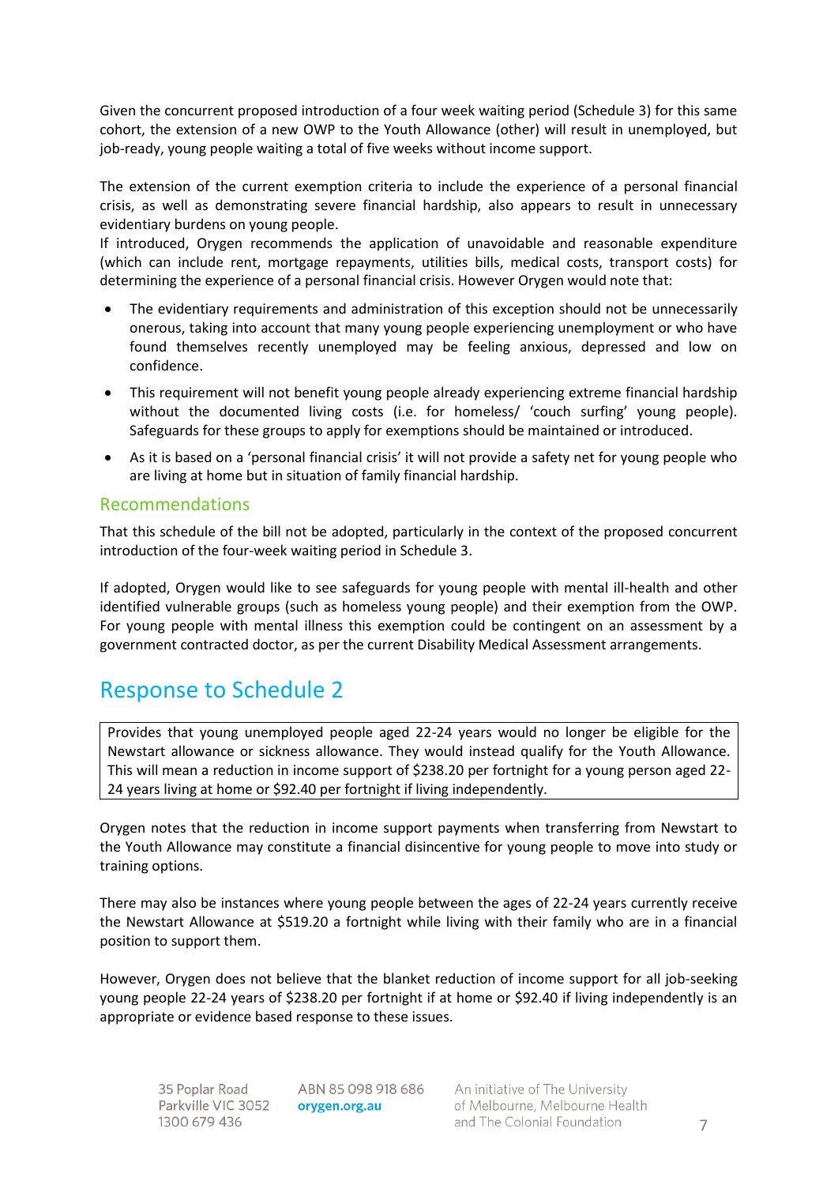Given the concurrent proposed introduction of a four week waiting period (Schedule 3) for this same cohort, the extension of a new OWP to the Youth Allowance (other) will result in unemployed, but job-ready, young people waiting a total of five weeks without income support.

The extension of the current exemption criteria to include the experience of a personal financial crisis, as well as demonstrating severe financial hardship, also appears to result in unnecessary evidentiary burdens on young people.

If introduced, Orygen recommends the application of unavoidable and reasonable expenditure (which can include rent, mortgage repayments, utilities bills, medical costs, transport costs) for determining the experience of a personal financial crisis. However Orygen would note that:

- The evidentiary requirements and administration of this exception should not be unnecessarily onerous, taking into account that many young people experiencing unemployment or who have found themselves recently unemployed may be feeling anxious, depressed and low on confidence.
- This requirement will not benefit young people already experiencing extreme financial hardship without the documented living costs (i.e. for homeless/ 'couch surfing' young people). Safeguards for these groups to apply for exemptions should be maintained or introduced.
- As it is based on a 'personal financial crisis' it will not provide a safety net for young people who are living at home but in situation of family financial hardship.

#### Recommendations

That this schedule of the bill not be adopted, particularly in the context of the proposed concurrent introduction of the four-week waiting period in Schedule 3.

If adopted, Orygen would like to see safeguards for young people with mental ill-health and other identified vulnerable groups (such as homeless young people) and their exemption from the OWP. For young people with mental illness this exemption could be contingent on an assessment by a government contracted doctor, as per the current Disability Medical Assessment arrangements.

## Response to Schedule 2

Provides that young unemployed people aged 22-24 years would no longer be eligible for the Newstart allowance or sickness allowance. They would instead qualify for the Youth Allowance. This will mean a reduction in income support of \$238.20 per fortnight for a young person aged 22- 24 years living at home or \$92.40 per fortnight if living independently.

Orygen notes that the reduction in income support payments when transferring from Newstart to the Youth Allowance may constitute a financial disincentive for young people to move into study or training options.

There may also be instances where young people between the ages of 22-24 years currently receive the Newstart Allowance at \$519.20 a fortnight while living with their family who are in a financial position to support them.

However, Orygen does not believe that the blanket reduction of income support for all job-seeking young people 22-24 years of \$238.20 per fortnight if at home or \$92.40 if living independently is an appropriate or evidence based response to these issues.

ABN 85 098 918 686 orygen.org.au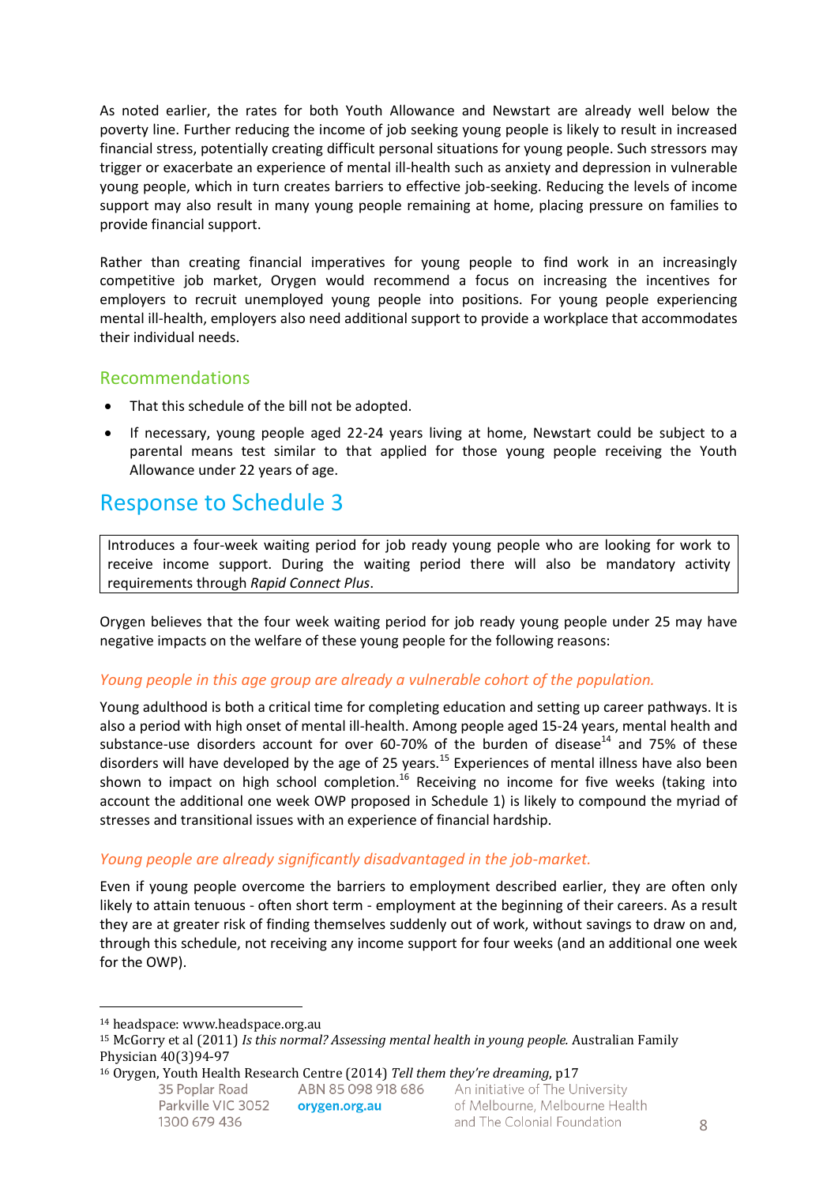As noted earlier, the rates for both Youth Allowance and Newstart are already well below the poverty line. Further reducing the income of job seeking young people is likely to result in increased financial stress, potentially creating difficult personal situations for young people. Such stressors may trigger or exacerbate an experience of mental ill-health such as anxiety and depression in vulnerable young people, which in turn creates barriers to effective job-seeking. Reducing the levels of income support may also result in many young people remaining at home, placing pressure on families to provide financial support.

Rather than creating financial imperatives for young people to find work in an increasingly competitive job market, Orygen would recommend a focus on increasing the incentives for employers to recruit unemployed young people into positions. For young people experiencing mental ill-health, employers also need additional support to provide a workplace that accommodates their individual needs.

#### Recommendations

- That this schedule of the bill not be adopted.
- If necessary, young people aged 22-24 years living at home, Newstart could be subject to a parental means test similar to that applied for those young people receiving the Youth Allowance under 22 years of age.

### Response to Schedule 3

Introduces a four-week waiting period for job ready young people who are looking for work to receive income support. During the waiting period there will also be mandatory activity requirements through *Rapid Connect Plus*.

Orygen believes that the four week waiting period for job ready young people under 25 may have negative impacts on the welfare of these young people for the following reasons:

#### *Young people in this age group are already a vulnerable cohort of the population.*

Young adulthood is both a critical time for completing education and setting up career pathways. It is also a period with high onset of mental ill-health. Among people aged 15-24 years, mental health and substance-use disorders account for over 60-70% of the burden of disease<sup>14</sup> and 75% of these disorders will have developed by the age of 25 years.<sup>15</sup> Experiences of mental illness have also been shown to impact on high school completion.<sup>16</sup> Receiving no income for five weeks (taking into account the additional one week OWP proposed in Schedule 1) is likely to compound the myriad of stresses and transitional issues with an experience of financial hardship.

#### *Young people are already significantly disadvantaged in the job-market.*

Even if young people overcome the barriers to employment described earlier, they are often only likely to attain tenuous - often short term - employment at the beginning of their careers. As a result they are at greater risk of finding themselves suddenly out of work, without savings to draw on and, through this schedule, not receiving any income support for four weeks (and an additional one week for the OWP).

 $\overline{a}$ 

<sup>14</sup> headspace: www.headspace.org.au

<sup>15</sup> McGorry et al (2011) *Is this normal? Assessing mental health in young people.* Australian Family Physician 40(3)94-97

<sup>16</sup> Orygen, Youth Health Research Centre (2014) *Tell them they're dreaming*, p17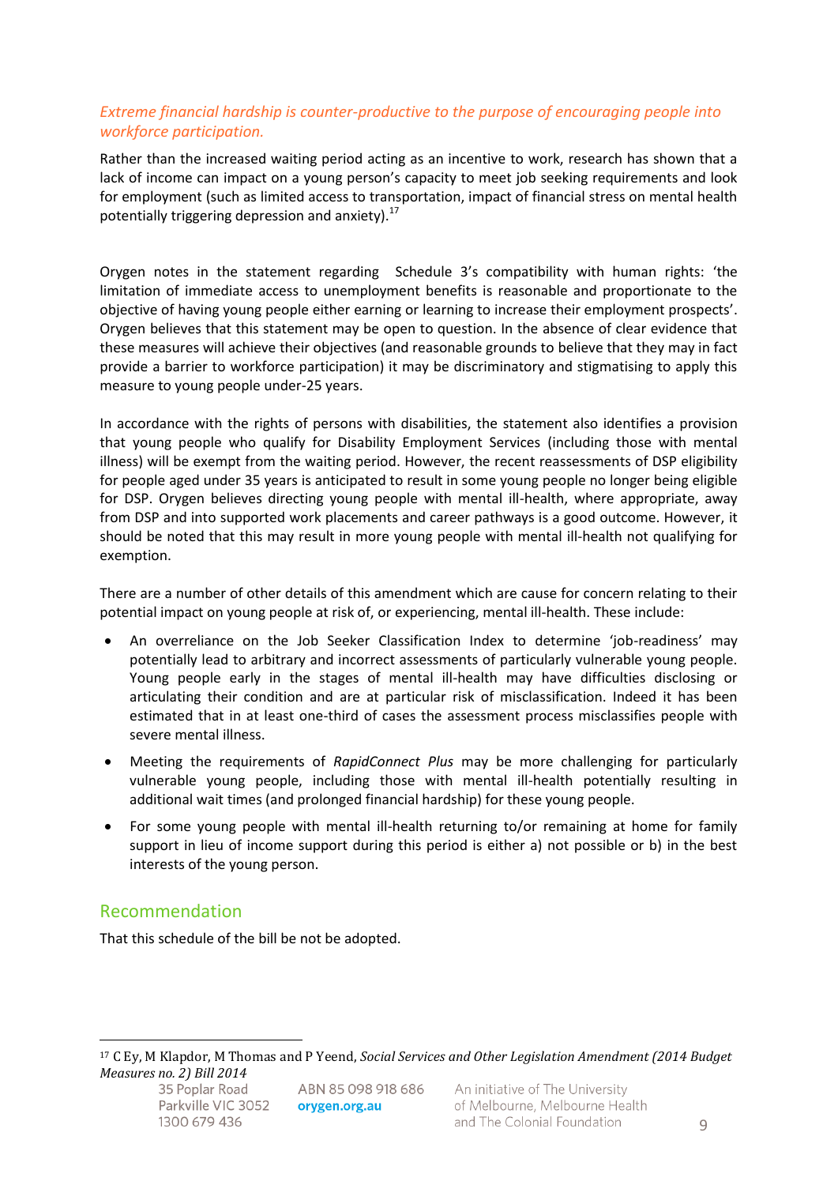#### *Extreme financial hardship is counter-productive to the purpose of encouraging people into workforce participation.*

Rather than the increased waiting period acting as an incentive to work, research has shown that a lack of income can impact on a young person's capacity to meet job seeking requirements and look for employment (such as limited access to transportation, impact of financial stress on mental health potentially triggering depression and anxiety). $^{17}$ 

Orygen notes in the statement regarding Schedule 3's compatibility with human rights: 'the limitation of immediate access to unemployment benefits is reasonable and proportionate to the objective of having young people either earning or learning to increase their employment prospects'. Orygen believes that this statement may be open to question. In the absence of clear evidence that these measures will achieve their objectives (and reasonable grounds to believe that they may in fact provide a barrier to workforce participation) it may be discriminatory and stigmatising to apply this measure to young people under-25 years.

In accordance with the rights of persons with disabilities, the statement also identifies a provision that young people who qualify for Disability Employment Services (including those with mental illness) will be exempt from the waiting period. However, the recent reassessments of DSP eligibility for people aged under 35 years is anticipated to result in some young people no longer being eligible for DSP. Orygen believes directing young people with mental ill-health, where appropriate, away from DSP and into supported work placements and career pathways is a good outcome. However, it should be noted that this may result in more young people with mental ill-health not qualifying for exemption.

There are a number of other details of this amendment which are cause for concern relating to their potential impact on young people at risk of, or experiencing, mental ill-health. These include:

- An overreliance on the Job Seeker Classification Index to determine 'job-readiness' may potentially lead to arbitrary and incorrect assessments of particularly vulnerable young people. Young people early in the stages of mental ill-health may have difficulties disclosing or articulating their condition and are at particular risk of misclassification. Indeed it has been estimated that in at least one-third of cases the assessment process misclassifies people with severe mental illness.
- Meeting the requirements of *RapidConnect Plus* may be more challenging for particularly vulnerable young people, including those with mental ill-health potentially resulting in additional wait times (and prolonged financial hardship) for these young people.
- For some young people with mental ill-health returning to/or remaining at home for family support in lieu of income support during this period is either a) not possible or b) in the best interests of the young person.

#### Recommendation

That this schedule of the bill be not be adopted.